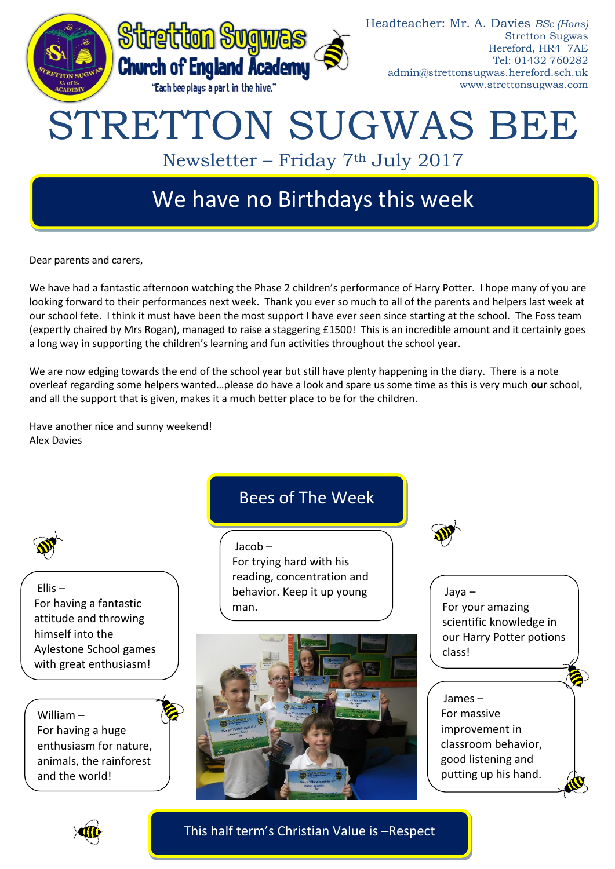

Dear parents and carers,

We have had a fantastic afternoon watching the Phase 2 children's performance of Harry Potter. I hope many of you are looking forward to their performances next week. Thank you ever so much to all of the parents and helpers last week at our school fete. I think it must have been the most support I have ever seen since starting at the school. The Foss team (expertly chaired by Mrs Rogan), managed to raise a staggering £1500! This is an incredible amount and it certainly goes a long way in supporting the children's learning and fun activities throughout the school year.

We are now edging towards the end of the school year but still have plenty happening in the diary. There is a note overleaf regarding some helpers wanted…please do have a look and spare us some time as this is very much **our** school, and all the support that is given, makes it a much better place to be for the children.

Have another nice and sunny weekend! Alex Davies



Ellis – For having a fantastic attitude and throwing himself into the Aylestone School games with great enthusiasm!

William – For having a huge enthusiasm for nature, animals, the rainforest and the world!

# Bees of The Week

Jacob – For trying hard with his reading, concentration and behavior. Keep it up young man.



Jaya – For your amazing scientific knowledge in our Harry Potter potions class!

## James –

For massive improvement in classroom behavior, good listening and putting up his hand.